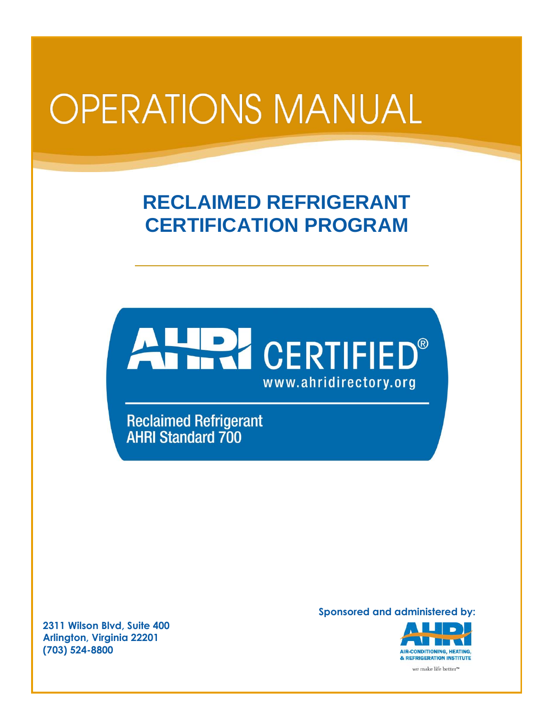# **OPERATIONS MANUAL**

## **RECLAIMED REFRIGERANT CERTIFICATION PROGRAM**



**Reclaimed Refrigerant AHRI Standard 700** 

**Sponsored and administered by:**



**2311 Wilson Blvd, Suite 400 Arlington, Virginia 22201 (703) 524-8800**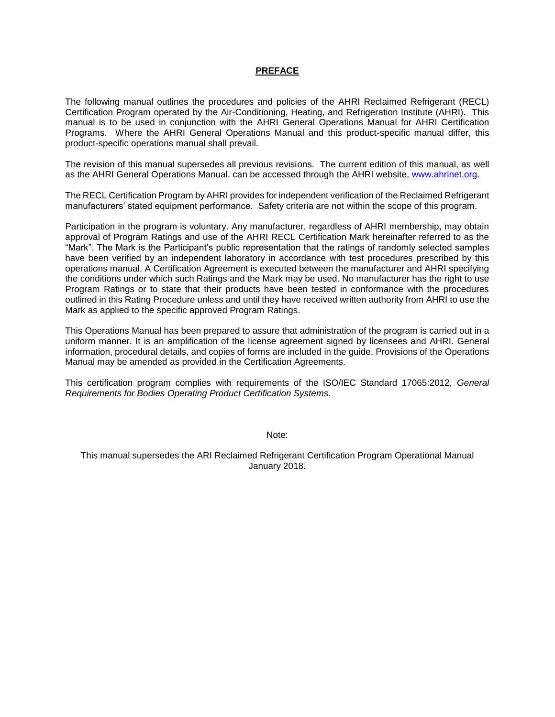#### **PREFACE**

The following manual outlines the procedures and policies of the AHRI Reclaimed Refrigerant (RECL) Certification Program operated by the Air-Conditioning, Heating, and Refrigeration Institute (AHRI). This manual is to be used in conjunction with the AHRI General Operations Manual for AHRI Certification Programs. Where the AHRI General Operations Manual and this product-specific manual differ, this product-specific operations manual shall prevail.

The revision of this manual supersedes all previous revisions. The current edition of this manual, as well as the AHRI General Operations Manual, can be accessed through the AHRI website, [www.ahrinet.org.](http://www.ahrinet.org/)

The RECL Certification Program by AHRI provides for independent verification of the Reclaimed Refrigerant manufacturers' stated equipment performance. Safety criteria are not within the scope of this program.

Participation in the program is voluntary. Any manufacturer, regardless of AHRI membership, may obtain approval of Program Ratings and use of the AHRI RECL Certification Mark hereinafter referred to as the "Mark". The Mark is the Participant's public representation that the ratings of randomly selected samples have been verified by an independent laboratory in accordance with test procedures prescribed by this operations manual. A Certification Agreement is executed between the manufacturer and AHRI specifying the conditions under which such Ratings and the Mark may be used. No manufacturer has the right to use Program Ratings or to state that their products have been tested in conformance with the procedures outlined in this Rating Procedure unless and until they have received written authority from AHRI to use the Mark as applied to the specific approved Program Ratings.

This Operations Manual has been prepared to assure that administration of the program is carried out in a uniform manner. It is an amplification of the license agreement signed by licensees and AHRI. General information, procedural details, and copies of forms are included in the guide. Provisions of the Operations Manual may be amended as provided in the Certification Agreements.

This certification program complies with requirements of the ISO/IEC Standard 17065:2012, *General Requirements for Bodies Operating Product Certification Systems.* 

Note:

This manual supersedes the ARI Reclaimed Refrigerant Certification Program Operational Manual January 2018.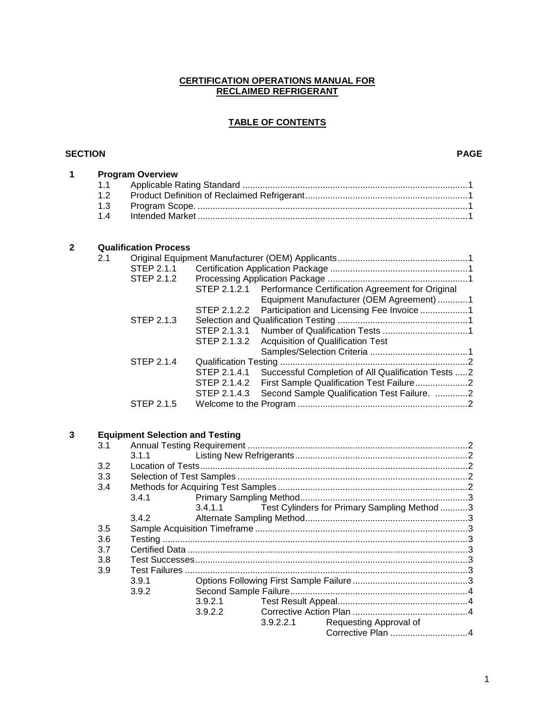#### **CERTIFICATION OPERATIONS MANUAL FOR RECLAIMED REFRIGERANT**

#### **TABLE OF CONTENTS**

#### **SECTION PAGE**

| 1 |                              | <b>Program Overview</b> |                                                               |  |  |  |
|---|------------------------------|-------------------------|---------------------------------------------------------------|--|--|--|
|   | 1.1                          |                         |                                                               |  |  |  |
|   | 1.2                          |                         |                                                               |  |  |  |
|   | 1.3                          |                         |                                                               |  |  |  |
|   | 14                           |                         |                                                               |  |  |  |
| 2 | <b>Qualification Process</b> |                         |                                                               |  |  |  |
|   |                              |                         |                                                               |  |  |  |
|   |                              | STEP 2.1.1              |                                                               |  |  |  |
|   |                              | STEP 2.1.2              |                                                               |  |  |  |
|   |                              |                         | STEP 2.1.2.1 Performance Certification Agreement for Original |  |  |  |

|            | OTEL 2.1.2.1 FURNITIONE CUMBONICATION AGREEMENT OF ORIGINAL     |  |
|------------|-----------------------------------------------------------------|--|
|            | Equipment Manufacturer (OEM Agreement) 1                        |  |
|            | STEP 2.1.2.2 Participation and Licensing Fee Invoice 1          |  |
| STEP 2.1.3 |                                                                 |  |
|            |                                                                 |  |
|            | STEP 2.1.3.2 Acquisition of Qualification Test                  |  |
|            |                                                                 |  |
| STEP 2.1.4 |                                                                 |  |
|            | STEP 2.1.4.1 Successful Completion of All Qualification Tests 2 |  |
|            | STEP 2.1.4.2 First Sample Qualification Test Failure2           |  |
|            | STEP 2.1.4.3 Second Sample Qualification Test Failure. 2        |  |
| STEP 2.1.5 |                                                                 |  |
|            |                                                                 |  |

### **3 Equipment Selection and Testing**

| 3.1 |       |         |           |                                              |  |
|-----|-------|---------|-----------|----------------------------------------------|--|
|     | 3.1.1 |         |           |                                              |  |
| 3.2 |       |         |           |                                              |  |
| 3.3 |       |         |           |                                              |  |
| 3.4 |       |         |           |                                              |  |
|     | 3.4.1 |         |           |                                              |  |
|     |       | 3.4.1.1 |           | Test Cylinders for Primary Sampling Method 3 |  |
|     | 3.4.2 |         |           |                                              |  |
| 3.5 |       |         |           |                                              |  |
| 3.6 |       |         |           |                                              |  |
| 3.7 |       |         |           |                                              |  |
| 3.8 |       |         |           |                                              |  |
| 3.9 |       |         |           |                                              |  |
|     | 3.9.1 |         |           |                                              |  |
|     | 3.9.2 |         |           |                                              |  |
|     |       | 3.9.2.1 |           |                                              |  |
|     |       | 3.9.2.2 |           |                                              |  |
|     |       |         | 3.9.2.2.1 | Requesting Approval of                       |  |
|     |       |         |           |                                              |  |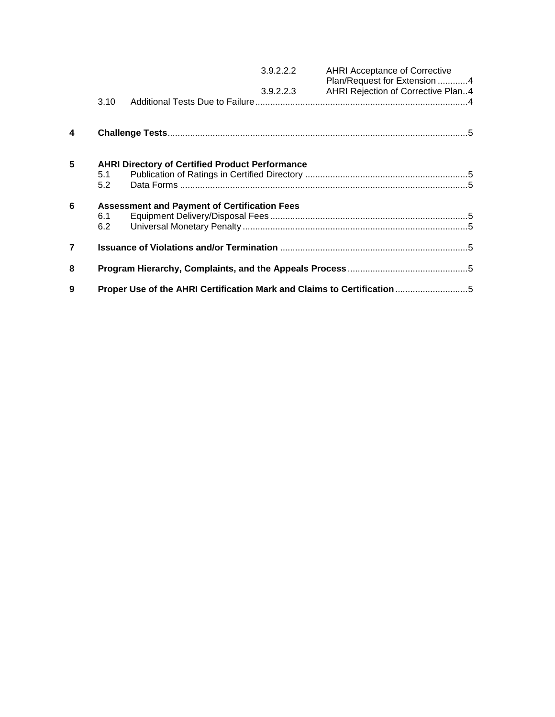|                  |            |                                                        | 3.9.2.2.2 | <b>AHRI Acceptance of Corrective</b><br>Plan/Request for Extension 4    |
|------------------|------------|--------------------------------------------------------|-----------|-------------------------------------------------------------------------|
|                  |            |                                                        | 3.9.2.2.3 | AHRI Rejection of Corrective Plan4                                      |
|                  | 3.10       |                                                        |           |                                                                         |
| $\boldsymbol{4}$ |            |                                                        |           |                                                                         |
| 5                | 5.1<br>5.2 | <b>AHRI Directory of Certified Product Performance</b> |           |                                                                         |
| 6                |            | <b>Assessment and Payment of Certification Fees</b>    |           |                                                                         |
|                  | 6.1        |                                                        |           |                                                                         |
|                  | 6.2        |                                                        |           |                                                                         |
| $\overline{7}$   |            |                                                        |           |                                                                         |
| 8                |            |                                                        |           |                                                                         |
| 9                |            |                                                        |           | Proper Use of the AHRI Certification Mark and Claims to Certification 5 |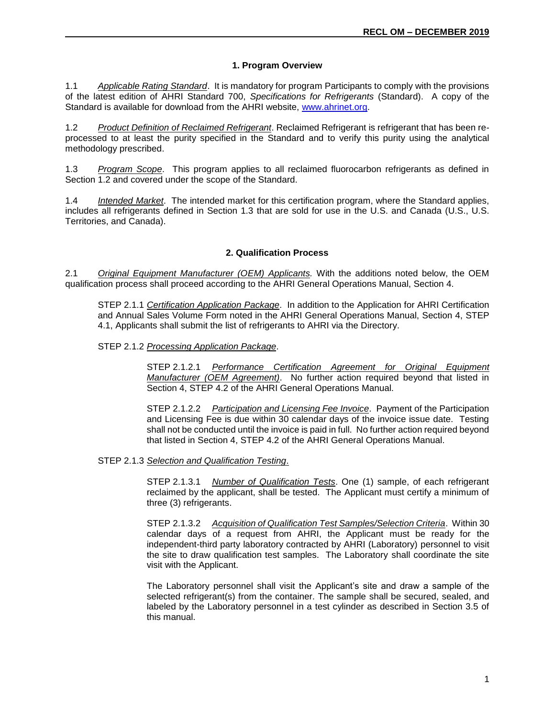#### **1. Program Overview**

1.1 *Applicable Rating Standard*. It is mandatory for program Participants to comply with the provisions of the latest edition of AHRI Standard 700, *Specifications for Refrigerants* (Standard). A copy of the Standard is available for download from the AHRI website, [www.ahrinet.org.](http://www.ahrinet.org/)

1.2 *Product Definition of Reclaimed Refrigerant*. Reclaimed Refrigerant is refrigerant that has been reprocessed to at least the purity specified in the Standard and to verify this purity using the analytical methodology prescribed.

1.3 *Program Scope*. This program applies to all reclaimed fluorocarbon refrigerants as defined in Section 1.2 and covered under the scope of the Standard.

1.4 *Intended Market*. The intended market for this certification program, where the Standard applies, includes all refrigerants defined in Section 1.3 that are sold for use in the U.S. and Canada (U.S., U.S. Territories, and Canada).

#### **2. Qualification Process**

2.1 *Original Equipment Manufacturer (OEM) Applicants.* With the additions noted below, the OEM qualification process shall proceed according to the AHRI General Operations Manual, Section 4.

STEP 2.1.1 *Certification Application Package*. In addition to the Application for AHRI Certification and Annual Sales Volume Form noted in the AHRI General Operations Manual, Section 4, STEP 4.1, Applicants shall submit the list of refrigerants to AHRI via the Directory.

STEP 2.1.2 *Processing Application Package*.

STEP 2.1.2.1 *Performance Certification Agreement for Original Equipment Manufacturer (OEM Agreement)*. No further action required beyond that listed in Section 4, STEP 4.2 of the AHRI General Operations Manual.

STEP 2.1.2.2 *Participation and Licensing Fee Invoice*. Payment of the Participation and Licensing Fee is due within 30 calendar days of the invoice issue date. Testing shall not be conducted until the invoice is paid in full. No further action required beyond that listed in Section 4, STEP 4.2 of the AHRI General Operations Manual.

STEP 2.1.3 *Selection and Qualification Testing*.

STEP 2.1.3.1 *Number of Qualification Tests*. One (1) sample, of each refrigerant reclaimed by the applicant, shall be tested. The Applicant must certify a minimum of three (3) refrigerants.

STEP 2.1.3.2 *Acquisition of Qualification Test Samples/Selection Criteria*. Within 30 calendar days of a request from AHRI, the Applicant must be ready for the independent-third party laboratory contracted by AHRI (Laboratory) personnel to visit the site to draw qualification test samples. The Laboratory shall coordinate the site visit with the Applicant.

The Laboratory personnel shall visit the Applicant's site and draw a sample of the selected refrigerant(s) from the container. The sample shall be secured, sealed, and labeled by the Laboratory personnel in a test cylinder as described in Section 3.5 of this manual.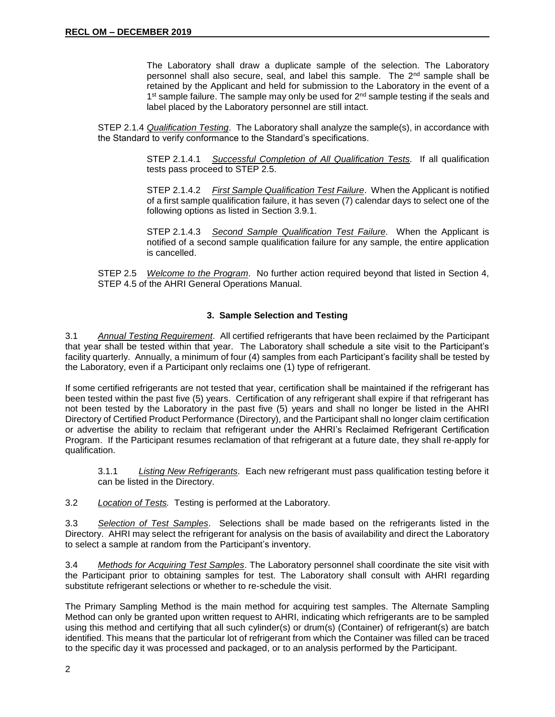The Laboratory shall draw a duplicate sample of the selection. The Laboratory personnel shall also secure, seal, and label this sample. The  $2^{nd}$  sample shall be retained by the Applicant and held for submission to the Laboratory in the event of a 1<sup>st</sup> sample failure. The sample may only be used for 2<sup>nd</sup> sample testing if the seals and label placed by the Laboratory personnel are still intact.

STEP 2.1.4 *Qualification Testing*. The Laboratory shall analyze the sample(s), in accordance with the Standard to verify conformance to the Standard's specifications.

> STEP 2.1.4.1 *Successful Completion of All Qualification Tests.* If all qualification tests pass proceed to STEP 2.5.

> STEP 2.1.4.2 *First Sample Qualification Test Failure*. When the Applicant is notified of a first sample qualification failure, it has seven (7) calendar days to select one of the following options as listed in Section 3.9.1.

> STEP 2.1.4.3 *Second Sample Qualification Test Failure*. When the Applicant is notified of a second sample qualification failure for any sample, the entire application is cancelled.

STEP 2.5 *Welcome to the Program*. No further action required beyond that listed in Section 4, STEP 4.5 of the AHRI General Operations Manual.

#### **3. Sample Selection and Testing**

3.1 *Annual Testing Requirement*. All certified refrigerants that have been reclaimed by the Participant that year shall be tested within that year. The Laboratory shall schedule a site visit to the Participant's facility quarterly. Annually, a minimum of four (4) samples from each Participant's facility shall be tested by the Laboratory, even if a Participant only reclaims one (1) type of refrigerant.

If some certified refrigerants are not tested that year, certification shall be maintained if the refrigerant has been tested within the past five (5) years. Certification of any refrigerant shall expire if that refrigerant has not been tested by the Laboratory in the past five (5) years and shall no longer be listed in the AHRI Directory of Certified Product Performance (Directory), and the Participant shall no longer claim certification or advertise the ability to reclaim that refrigerant under the AHRI's Reclaimed Refrigerant Certification Program. If the Participant resumes reclamation of that refrigerant at a future date, they shall re-apply for qualification.

3.1.1 *Listing New Refrigerants*. Each new refrigerant must pass qualification testing before it can be listed in the Directory.

3.2 *Location of Tests.* Testing is performed at the Laboratory.

3.3 *Selection of Test Samples*. Selections shall be made based on the refrigerants listed in the Directory. AHRI may select the refrigerant for analysis on the basis of availability and direct the Laboratory to select a sample at random from the Participant's inventory.

3.4 *Methods for Acquiring Test Samples*. The Laboratory personnel shall coordinate the site visit with the Participant prior to obtaining samples for test. The Laboratory shall consult with AHRI regarding substitute refrigerant selections or whether to re-schedule the visit.

The Primary Sampling Method is the main method for acquiring test samples. The Alternate Sampling Method can only be granted upon written request to AHRI, indicating which refrigerants are to be sampled using this method and certifying that all such cylinder(s) or drum(s) (Container) of refrigerant(s) are batch identified. This means that the particular lot of refrigerant from which the Container was filled can be traced to the specific day it was processed and packaged, or to an analysis performed by the Participant.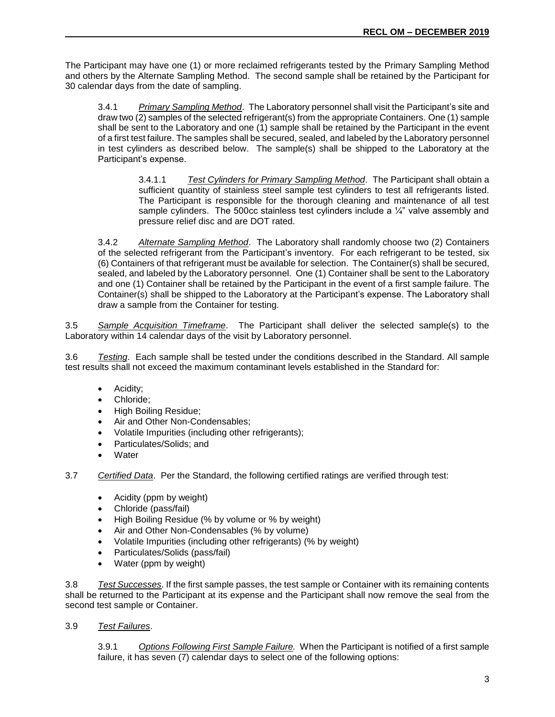The Participant may have one (1) or more reclaimed refrigerants tested by the Primary Sampling Method and others by the Alternate Sampling Method. The second sample shall be retained by the Participant for 30 calendar days from the date of sampling.

3.4.1 *Primary Sampling Method*. The Laboratory personnel shall visit the Participant's site and draw two (2) samples of the selected refrigerant(s) from the appropriate Containers. One (1) sample shall be sent to the Laboratory and one (1) sample shall be retained by the Participant in the event of a first test failure. The samples shall be secured, sealed, and labeled by the Laboratory personnel in test cylinders as described below. The sample(s) shall be shipped to the Laboratory at the Participant's expense.

> 3.4.1.1 *Test Cylinders for Primary Sampling Method*. The Participant shall obtain a sufficient quantity of stainless steel sample test cylinders to test all refrigerants listed. The Participant is responsible for the thorough cleaning and maintenance of all test sample cylinders. The 500cc stainless test cylinders include a  $\frac{1}{4}$ " valve assembly and pressure relief disc and are DOT rated.

3.4.2 *Alternate Sampling Method*. The Laboratory shall randomly choose two (2) Containers of the selected refrigerant from the Participant's inventory. For each refrigerant to be tested, six (6) Containers of that refrigerant must be available for selection. The Container(s) shall be secured, sealed, and labeled by the Laboratory personnel. One (1) Container shall be sent to the Laboratory and one (1) Container shall be retained by the Participant in the event of a first sample failure. The Container(s) shall be shipped to the Laboratory at the Participant's expense. The Laboratory shall draw a sample from the Container for testing.

3.5 *Sample Acquisition Timeframe*. The Participant shall deliver the selected sample(s) to the Laboratory within 14 calendar days of the visit by Laboratory personnel.

3.6 *Testing*. Each sample shall be tested under the conditions described in the Standard. All sample test results shall not exceed the maximum contaminant levels established in the Standard for:

- Acidity;
- Chloride;
- High Boiling Residue;
- Air and Other Non-Condensables;
- Volatile Impurities (including other refrigerants);
- Particulates/Solids; and
- **Water**

3.7 *Certified Data*. Per the Standard, the following certified ratings are verified through test:

- Acidity (ppm by weight)
- Chloride (pass/fail)
- High Boiling Residue (% by volume or % by weight)
- Air and Other Non-Condensables (% by volume)
- Volatile Impurities (including other refrigerants) (% by weight)
- Particulates/Solids (pass/fail)
- Water (ppm by weight)

3.8 *Test Successes*. If the first sample passes, the test sample or Container with its remaining contents shall be returned to the Participant at its expense and the Participant shall now remove the seal from the second test sample or Container.

3.9 *Test Failures*.

3.9.1 *Options Following First Sample Failure.* When the Participant is notified of a first sample failure, it has seven (7) calendar days to select one of the following options: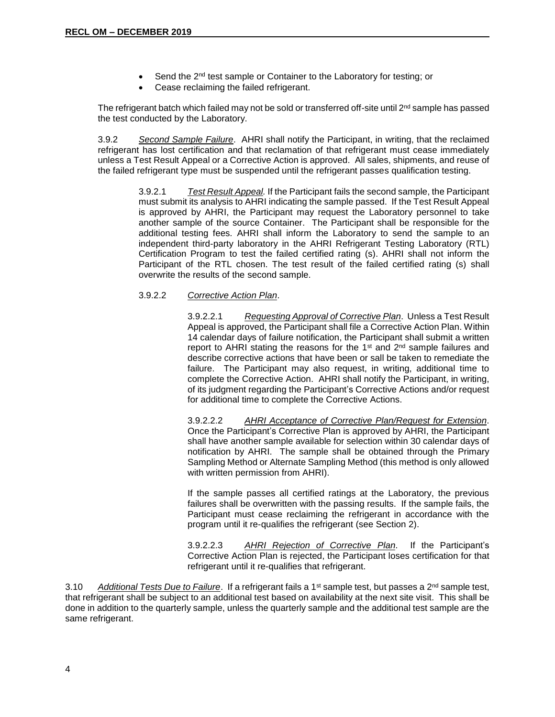- Send the 2<sup>nd</sup> test sample or Container to the Laboratory for testing; or
- Cease reclaiming the failed refrigerant.

The refrigerant batch which failed may not be sold or transferred off-site until  $2<sup>nd</sup>$  sample has passed the test conducted by the Laboratory.

3.9.2 *Second Sample Failure*. AHRI shall notify the Participant, in writing, that the reclaimed refrigerant has lost certification and that reclamation of that refrigerant must cease immediately unless a Test Result Appeal or a Corrective Action is approved. All sales, shipments, and reuse of the failed refrigerant type must be suspended until the refrigerant passes qualification testing.

> 3.9.2.1 *Test Result Appeal.* If the Participant fails the second sample, the Participant must submit its analysis to AHRI indicating the sample passed. If the Test Result Appeal is approved by AHRI, the Participant may request the Laboratory personnel to take another sample of the source Container. The Participant shall be responsible for the additional testing fees*.* AHRI shall inform the Laboratory to send the sample to an independent third-party laboratory in the AHRI Refrigerant Testing Laboratory (RTL) Certification Program to test the failed certified rating (s). AHRI shall not inform the Participant of the RTL chosen. The test result of the failed certified rating (s) shall overwrite the results of the second sample.

#### 3.9.2.2 *Corrective Action Plan*.

3.9.2.2.1 *Requesting Approval of Corrective Plan*. Unless a Test Result Appeal is approved, the Participant shall file a Corrective Action Plan. Within 14 calendar days of failure notification, the Participant shall submit a written report to AHRI stating the reasons for the 1<sup>st</sup> and 2<sup>nd</sup> sample failures and describe corrective actions that have been or sall be taken to remediate the failure. The Participant may also request, in writing, additional time to complete the Corrective Action. AHRI shall notify the Participant, in writing, of its judgment regarding the Participant's Corrective Actions and/or request for additional time to complete the Corrective Actions.

3.9.2.2.2 *AHRI Acceptance of Corrective Plan/Request for Extension*. Once the Participant's Corrective Plan is approved by AHRI, the Participant shall have another sample available for selection within 30 calendar days of notification by AHRI. The sample shall be obtained through the Primary Sampling Method or Alternate Sampling Method (this method is only allowed with written permission from AHRI).

If the sample passes all certified ratings at the Laboratory, the previous failures shall be overwritten with the passing results. If the sample fails, the Participant must cease reclaiming the refrigerant in accordance with the program until it re-qualifies the refrigerant (see Section 2).

3.9.2.2.3 *AHRI Rejection of Corrective Plan*. If the Participant's Corrective Action Plan is rejected, the Participant loses certification for that refrigerant until it re-qualifies that refrigerant.

3.10 *Additional Tests Due to Failure*. If a refrigerant fails a 1<sup>st</sup> sample test, but passes a 2<sup>nd</sup> sample test, that refrigerant shall be subject to an additional test based on availability at the next site visit. This shall be done in addition to the quarterly sample, unless the quarterly sample and the additional test sample are the same refrigerant.